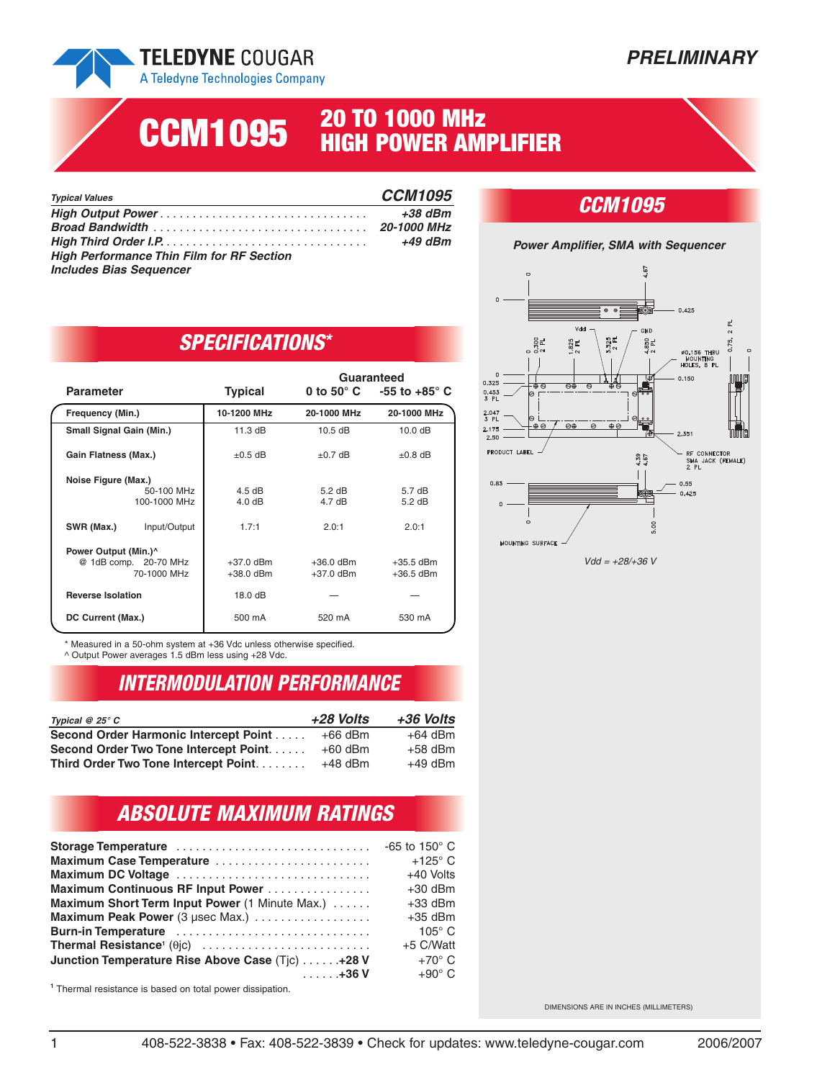

## **PRELIMINARY**

# **20 TO 1000 MHz CCM1095 HIGH POWER AMPLIFIER**

| <b>Typical Values</b>                            | <b>CCM1095</b> |
|--------------------------------------------------|----------------|
|                                                  | $+38$ dBm      |
|                                                  |                |
|                                                  | +49 dBm        |
| <b>High Performance Thin Film for RF Section</b> |                |
| <b>Includes Bias Sequencer</b>                   |                |

## *CCM1095*



# *SPECIFICATIONS\**

|                                 |                                               | Guaranteed       |                                              |
|---------------------------------|-----------------------------------------------|------------------|----------------------------------------------|
| <b>Parameter</b>                | <b>Typical</b>                                |                  | 0 to 50 $^{\circ}$ C -55 to +85 $^{\circ}$ C |
| Frequency (Min.)                | 10-1200 MHz                                   | 20-1000 MHz      | 20-1000 MHz                                  |
| <b>Small Signal Gain (Min.)</b> | $11.3 \text{ dB}$                             | $10.5$ dB        | 10.0 dB                                      |
| Gain Flatness (Max.)            | $\pm 0.5$ dB                                  | $\pm 0.7$ dB     | $\pm 0.8$ dB                                 |
| Noise Figure (Max.)             |                                               |                  |                                              |
| 50-100 MHz                      | $4.5 \text{ dB}$                              | $5.2 \text{ dB}$ | 5.7dB                                        |
| 100-1000 MHz                    | 4.0 dB                                        | $4.7 \text{ dB}$ | $5.2 \text{ dB}$                             |
| Input/Output<br>SWR (Max.)      | 1.7:1                                         | 2.0:1            | 2.0:1                                        |
|                                 |                                               |                  |                                              |
|                                 |                                               |                  | $+35.5$ dBm                                  |
| 70-1000 MHz                     | $+38.0$ dBm                                   | $+37.0$ dBm      | $+36.5$ dBm                                  |
| <b>Reverse Isolation</b>        | 18.0 dB                                       |                  |                                              |
| DC Current (Max.)               | 500 mA                                        | 520 mA           | 530 mA                                       |
|                                 | Power Output (Min.)^<br>@ 1dB comp. 20-70 MHz | $+37.0$ dBm      | $+36.0$ dBm                                  |

\* Measured in a 50-ohm system at +36 Vdc unless otherwise specified. ^ Output Power averages 1.5 dBm less using +28 Vdc.

# *INTERMODULATION PERFORMANCE*

| Typical $@25°C$                        | +28 Volts | +36 Volts |
|----------------------------------------|-----------|-----------|
| Second Order Harmonic Intercept Point  | $+66$ dBm | $+64$ dBm |
| Second Order Two Tone Intercept Point. | $+60$ dBm | $+58$ dBm |
| Third Order Two Tone Intercept Point   | $+48$ dBm | $+49$ dBm |

# *ABSOLUTE MAXIMUM RATINGS*

| Storage Temperature                              | -65 to 150 $^{\circ}$ C |
|--------------------------------------------------|-------------------------|
| Maximum Case Temperature                         | $+125^\circ$ C          |
| Maximum DC Voltage                               | +40 Volts               |
| Maximum Continuous RF Input Power                | $+30$ dBm               |
| Maximum Short Term Input Power (1 Minute Max.)   | $+33$ dBm               |
| Maximum Peak Power (3 µsec Max.)                 | $+35$ dBm               |
| Burn-in Temperature                              | $105^\circ$ C           |
|                                                  | +5 C/Watt               |
| Junction Temperature Rise Above Case (Tjc) 428 V | $+70^{\circ}$ C         |
| $\ldots$ +36 V                                   | $+90^{\circ}$ C         |
|                                                  |                         |

**<sup>1</sup>** Thermal resistance is based on total power dissipation.

DIMENSIONS ARE IN INCHES (MILLIMETERS)